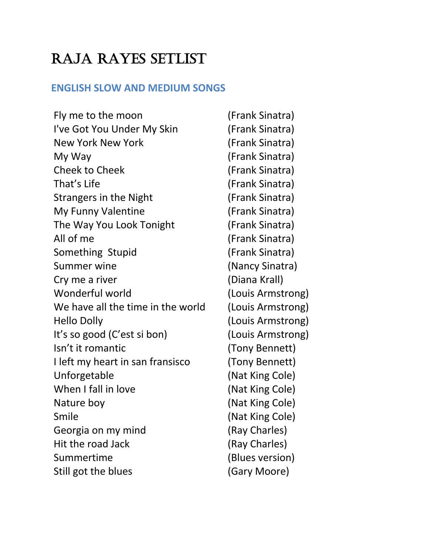# RAJA RAYES SETLIST

# **ENGLISH SLOW AND MEDIUM SONGS**

| Fly me to the moon                | (Frank Sinatra)   |
|-----------------------------------|-------------------|
| I've Got You Under My Skin        | (Frank Sinatra)   |
| <b>New York New York</b>          | (Frank Sinatra)   |
| My Way                            | (Frank Sinatra)   |
| <b>Cheek to Cheek</b>             | (Frank Sinatra)   |
| That's Life                       | (Frank Sinatra)   |
| <b>Strangers in the Night</b>     | (Frank Sinatra)   |
| My Funny Valentine                | (Frank Sinatra)   |
| The Way You Look Tonight          | (Frank Sinatra)   |
| All of me                         | (Frank Sinatra)   |
| Something Stupid                  | (Frank Sinatra)   |
| Summer wine                       | (Nancy Sinatra)   |
| Cry me a river                    | (Diana Krall)     |
| Wonderful world                   | (Louis Armstrong) |
| We have all the time in the world | (Louis Armstrong) |
| <b>Hello Dolly</b>                | (Louis Armstrong) |
| It's so good (C'est si bon)       | (Louis Armstrong) |
| Isn't it romantic                 | (Tony Bennett)    |
| I left my heart in san fransisco  | (Tony Bennett)    |
| Unforgetable                      | (Nat King Cole)   |
| When I fall in love               | (Nat King Cole)   |
| Nature boy                        | (Nat King Cole)   |
| Smile                             | (Nat King Cole)   |
| Georgia on my mind                | (Ray Charles)     |
| Hit the road Jack                 | (Ray Charles)     |
| Summertime                        | (Blues version)   |
| Still got the blues               | (Gary Moore)      |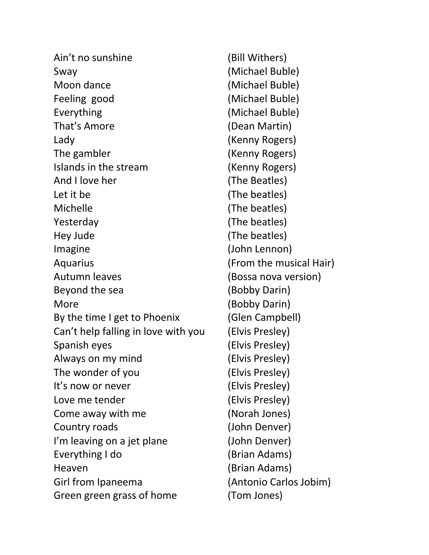| Ain't no sunshine                   | (Bill Withers)          |
|-------------------------------------|-------------------------|
| Sway                                | (Michael Buble)         |
| Moon dance                          | (Michael Buble)         |
| Feeling good                        | (Michael Buble)         |
| Everything                          | (Michael Buble)         |
| That's Amore                        | (Dean Martin)           |
| Lady                                | (Kenny Rogers)          |
| The gambler                         | (Kenny Rogers)          |
| Islands in the stream               | (Kenny Rogers)          |
| And I love her                      | (The Beatles)           |
| Let it be                           | (The beatles)           |
| Michelle                            | (The beatles)           |
| Yesterday                           | (The beatles)           |
| Hey Jude                            | (The beatles)           |
| Imagine                             | (John Lennon)           |
| Aquarius                            | (From the musical Hair) |
| Autumn leaves                       | (Bossa nova version)    |
| Beyond the sea                      | (Bobby Darin)           |
| More                                | (Bobby Darin)           |
| By the time I get to Phoenix        | (Glen Campbell)         |
| Can't help falling in love with you | (Elvis Presley)         |
| Spanish eyes                        | (Elvis Presley)         |
| Always on my mind                   | (Elvis Presley)         |
| The wonder of you                   | (Elvis Presley)         |
| It's now or never                   | (Elvis Presley)         |
| Love me tender                      | (Elvis Presley)         |
| Come away with me                   | (Norah Jones)           |
| Country roads                       | (John Denver)           |
| I'm leaving on a jet plane          | (John Denver)           |
| Everything I do                     | (Brian Adams)           |
| Heaven                              | (Brian Adams)           |
| Girl from Ipaneema                  | (Antonio Carlos Jobim)  |
| Green green grass of home           | (Tom Jones)             |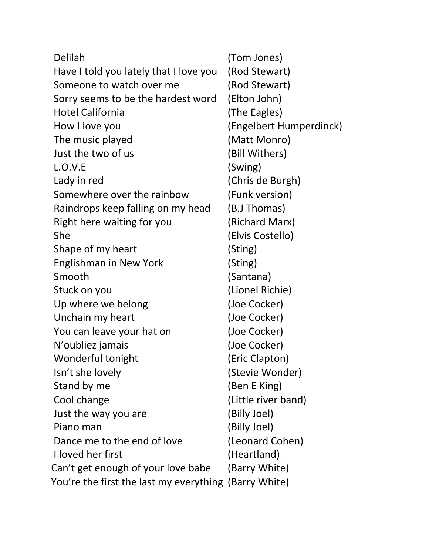| Delilah                                               | (Tom Jones)             |
|-------------------------------------------------------|-------------------------|
| Have I told you lately that I love you                | (Rod Stewart)           |
| Someone to watch over me                              | (Rod Stewart)           |
| Sorry seems to be the hardest word                    | (Elton John)            |
| <b>Hotel California</b>                               | (The Eagles)            |
| How I love you                                        | (Engelbert Humperdinck) |
| The music played                                      | (Matt Monro)            |
| Just the two of us                                    | (Bill Withers)          |
| L.O.V.E                                               | (Swing)                 |
| Lady in red                                           | (Chris de Burgh)        |
| Somewhere over the rainbow                            | (Funk version)          |
| Raindrops keep falling on my head                     | (B.J Thomas)            |
| Right here waiting for you                            | (Richard Marx)          |
| She                                                   | (Elvis Costello)        |
| Shape of my heart                                     | (Sting)                 |
| <b>Englishman in New York</b>                         | (Sting)                 |
| Smooth                                                | (Santana)               |
| Stuck on you                                          | (Lionel Richie)         |
| Up where we belong                                    | (Joe Cocker)            |
| Unchain my heart                                      | (Joe Cocker)            |
| You can leave your hat on                             | (Joe Cocker)            |
| N'oubliez jamais                                      | (Joe Cocker)            |
| Wonderful tonight                                     | (Eric Clapton)          |
| Isn't she lovely                                      | (Stevie Wonder)         |
| Stand by me                                           | (Ben E King)            |
| Cool change                                           | (Little river band)     |
| Just the way you are                                  | (Billy Joel)            |
| Piano man                                             | (Billy Joel)            |
| Dance me to the end of love                           | (Leonard Cohen)         |
| I loved her first                                     | (Heartland)             |
| Can't get enough of your love babe                    | (Barry White)           |
| You're the first the last my everything (Barry White) |                         |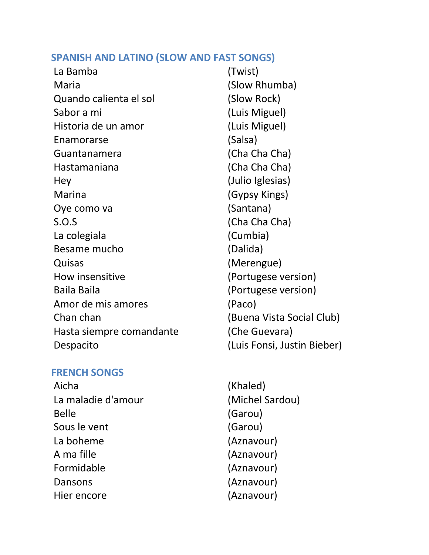# **SPANISH AND LATINO (SLOW AND FAST SONGS)**

| La Bamba                 | (Twist)                     |
|--------------------------|-----------------------------|
| Maria                    | (Slow Rhumba)               |
| Quando calienta el sol   | (Slow Rock)                 |
| Sabor a mi               | (Luis Miguel)               |
| Historia de un amor      | (Luis Miguel)               |
| Enamorarse               | (Salsa)                     |
| Guantanamera             | (Cha Cha Cha)               |
| Hastamaniana             | (Cha Cha Cha)               |
| Hey                      | (Julio Iglesias)            |
| Marina                   | (Gypsy Kings)               |
| Oye como va              | (Santana)                   |
| S.O.S                    | (Cha Cha Cha)               |
| La colegiala             | (Cumbia)                    |
| Besame mucho             | (Dalida)                    |
| Quisas                   | (Merengue)                  |
| How insensitive          | (Portugese version)         |
| <b>Baila Baila</b>       | (Portugese version)         |
| Amor de mis amores       | (Paco)                      |
| Chan chan                | (Buena Vista Social Club)   |
| Hasta siempre comandante | (Che Guevara)               |
| Despacito                | (Luis Fonsi, Justin Bieber) |

# **FRENCH SONGS**

Aicha (Khaled) La maladie d'amour (Michel Sardou) Belle (Garou) Sous le vent (Garou) La boheme (Aznavour) A ma fille (Aznavour) Formidable (Aznavour) Dansons (Aznavour) Hier encore (Aznavour)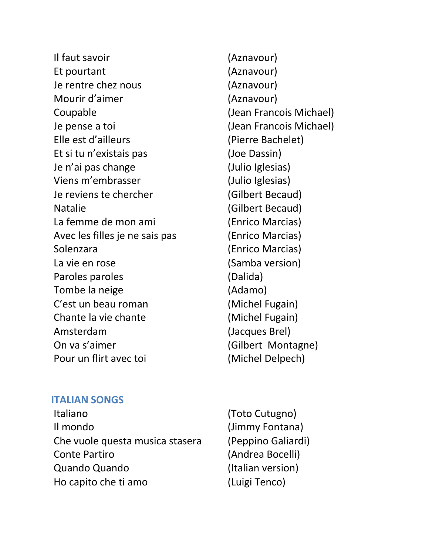Il faut savoir (Aznavour) Et pourtant (Aznavour) Je rentre chez nous (Aznavour) Mourir d'aimer (Aznavour) Coupable (Jean Francois Michael) Je pense a toi (Jean Francois Michael) Elle est d'ailleurs (Pierre Bachelet) Et si tu n'existais pas (Joe Dassin) Je n'ai pas change (Julio Iglesias) Viens m'embrasser (Julio Iglesias) Je reviens te chercher (Gilbert Becaud) Natalie (Gilbert Becaud) La femme de mon ami (Enrico Marcias) Avec les filles je ne sais pas (Enrico Marcias) Solenzara (Enrico Marcias) La vie en rose (Samba version) Paroles paroles (Dalida) Tombe la neige (Adamo) C'est un beau roman (Michel Fugain) Chante la vie chante (Michel Fugain) Amsterdam (Jacques Brel) On va s'aimer (Gilbert Montagne) Pour un flirt avec toi (Michel Delpech)

## **ITALIAN SONGS**

- Italiano (Toto Cutugno) Il mondo (Jimmy Fontana) Che vuole questa musica stasera (Peppino Galiardi) Conte Partiro (Andrea Bocelli) Quando Quando (Italian version) Ho capito che ti amo (Luigi Tenco)
-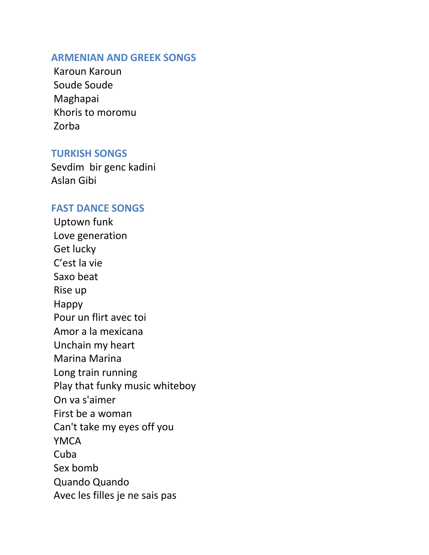## **ARMENIAN AND GREEK SONGS**

Karoun Karoun Soude Soude Maghapai Khoris to moromu Zorba

### **TURKISH SONGS**

Sevdim bir genc kadini Aslan Gibi

#### **FAST DANCE SONGS**

Uptown funk Love generation Get lucky C'est la vie Saxo beat Rise up Happy Pour un flirt avec toi Amor a la mexicana Unchain my heart Marina Marina Long train running Play that funky music whiteboy On va s'aimer First be a woman Can't take my eyes off you YMCA Cuba Sex bomb Quando Quando Avec les filles je ne sais pas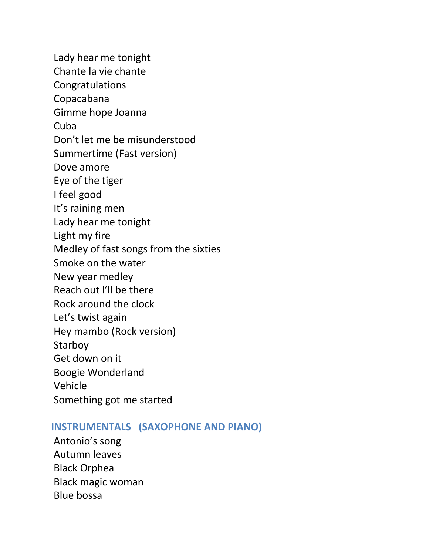Lady hear me tonight Chante la vie chante Congratulations Copacabana Gimme hope Joanna Cuba Don't let me be misunderstood Summertime (Fast version) Dove amore Eye of the tiger I feel good It's raining men Lady hear me tonight Light my fire Medley of fast songs from the sixties Smoke on the water New year medley Reach out I'll be there Rock around the clock Let's twist again Hey mambo (Rock version) Starboy Get down on it Boogie Wonderland Vehicle Something got me started

# **INSTRUMENTALS (SAXOPHONE AND PIANO)**

Antonio's song Autumn leaves Black Orphea Black magic woman Blue bossa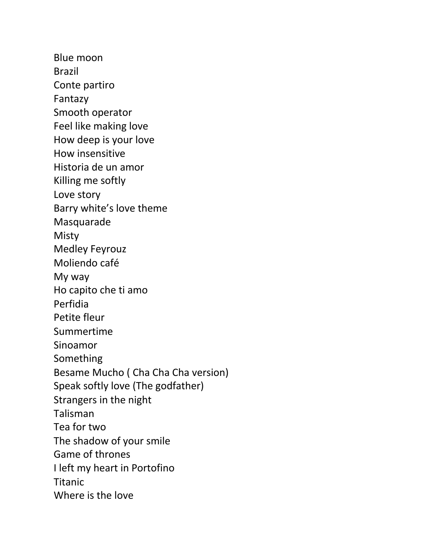Blue moon Brazil Conte partiro Fantazy Smooth operator Feel like making love How deep is your love How insensitive Historia de un amor Killing me softly Love story Barry white's love theme Masquarade Misty Medley Feyrouz Moliendo café My way Ho capito che ti amo Perfidia Petite fleur Summertime Sinoamor Something Besame Mucho ( Cha Cha Cha version) Speak softly love (The godfather) Strangers in the night Talisman Tea for two The shadow of your smile Game of thrones I left my heart in Portofino Titanic Where is the love